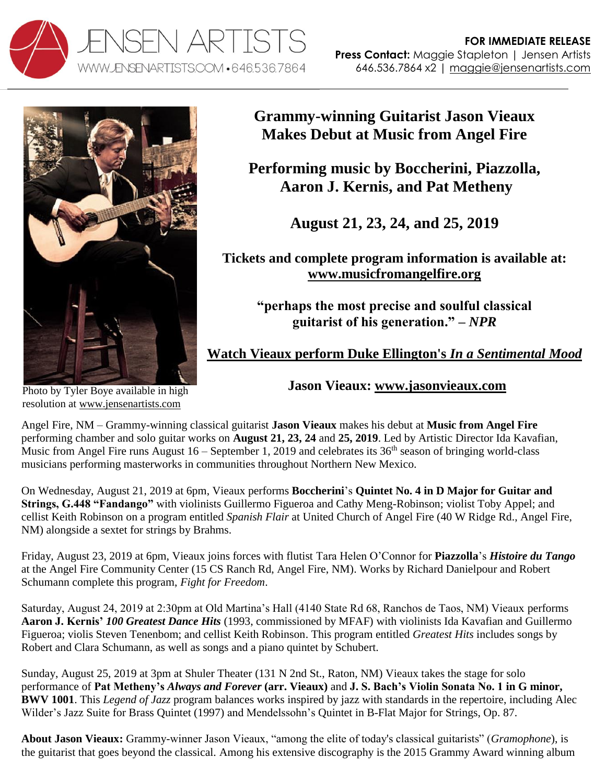



**Grammy-winning Guitarist Jason Vieaux Makes Debut at Music from Angel Fire**

**Performing music by Boccherini, Piazzolla, Aaron J. Kernis, and Pat Metheny**

**August 21, 23, 24, and 25, 2019**

**Tickets and complete program information is available at: [www.musicfromangelfire.org](http://www.musicfromangelfire.org/)**

> **"perhaps the most precise and soulful classical guitarist of his generation." –** *NPR*

**[Watch Vieaux perform Duke Ellington's](http://www.youtube.com/watch?v=6Mod9vYk4IE)** *In a Sentimental Mood*

Photo by Tyler Boye available in high resolution at [www.jensenartists.com](http://www.jensenartists.com/jason-vieaux)

**Jason Vieaux: [www.jasonvieaux.com](http://www.jasonvieaux.com/)**

Angel Fire, NM – Grammy-winning classical guitarist **Jason Vieaux** makes his debut at **Music from Angel Fire** performing chamber and solo guitar works on **August 21, 23, 24** and **25, 2019**. Led by Artistic Director Ida Kavafian, Music from Angel Fire runs August  $16 -$  September 1, 2019 and celebrates its  $36<sup>th</sup>$  season of bringing world-class musicians performing masterworks in communities throughout Northern New Mexico.

On Wednesday, August 21, 2019 at 6pm, Vieaux performs **Boccherini**'s **Quintet No. 4 in D Major for Guitar and Strings, G.448 "Fandango"** with violinists Guillermo Figueroa and Cathy Meng-Robinson; violist Toby Appel; and cellist Keith Robinson on a program entitled *Spanish Flair* at United Church of Angel Fire (40 W Ridge Rd., Angel Fire, NM) alongside a sextet for strings by Brahms.

Friday, August 23, 2019 at 6pm, Vieaux joins forces with flutist Tara Helen O'Connor for **Piazzolla**'s *Histoire du Tango* at the Angel Fire Community Center (15 CS Ranch Rd, Angel Fire, NM). Works by Richard Danielpour and Robert Schumann complete this program, *Fight for Freedom*.

Saturday, August 24, 2019 at 2:30pm at Old Martina's Hall (4140 State Rd 68, Ranchos de Taos, NM) Vieaux performs **Aaron J. Kernis'** *100 Greatest Dance Hits* (1993, commissioned by MFAF) with violinists Ida Kavafian and Guillermo Figueroa; violis Steven Tenenbom; and cellist Keith Robinson. This program entitled *Greatest Hits* includes songs by Robert and Clara Schumann, as well as songs and a piano quintet by Schubert.

Sunday, August 25, 2019 at 3pm at Shuler Theater (131 N 2nd St., Raton, NM) Vieaux takes the stage for solo performance of **Pat Metheny's** *Always and Forever* **(arr. Vieaux)** and **J. S. Bach's Violin Sonata No. 1 in G minor, BWV 1001**. This *Legend of Jazz* program balances works inspired by jazz with standards in the repertoire, including Alec Wilder's Jazz Suite for Brass Quintet (1997) and Mendelssohn's Quintet in B-Flat Major for Strings, Op. 87.

**About Jason Vieaux:** Grammy-winner Jason Vieaux, "among the elite of today's classical guitarists" (*Gramophone*), is the guitarist that goes beyond the classical. Among his extensive discography is the 2015 Grammy Award winning album